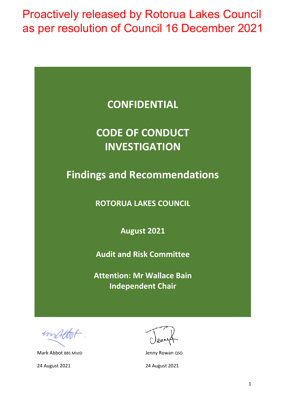| <b>CONFIDENTIAL</b>                 |
|-------------------------------------|
| <b>CODE OF CONDUCT</b>              |
|                                     |
| <b>INVESTIGATION</b>                |
|                                     |
| <b>Findings and Recommendations</b> |
|                                     |
| <b>ROTORUA LAKES COUNCIL</b>        |
|                                     |
|                                     |
| <b>August 2021</b>                  |
|                                     |
| <b>Audit and Risk Committee</b>     |
| <b>Attention: Mr Wallace Bain</b>   |
| <b>Independent Chair</b>            |
|                                     |
|                                     |
|                                     |

 $4n$ 

Mark Abbot BBS MIstD **Jenny Rowan QSO** 

24 August 2021 24 August 2021

Venu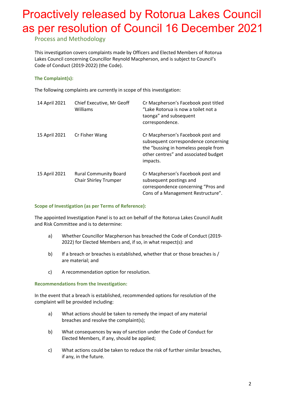### Process and Methodology

This investigation covers complaints made by Officers and Elected Members of Rotorua Lakes Council concerning Councillor Reynold Macpherson, and is subject to Council's Code of Conduct (2019-2022) (the Code).

#### **The Complaint(s):**

The following complaints are currently in scope of this investigation:

| 14 April 2021 | Chief Executive, Mr Geoff<br>Williams                        | Cr Macpherson's Facebook post titled<br>"Lake Rotorua is now a toilet not a<br>taonga" and subsequent<br>correspondence.                                              |
|---------------|--------------------------------------------------------------|-----------------------------------------------------------------------------------------------------------------------------------------------------------------------|
| 15 April 2021 | Cr Fisher Wang                                               | Cr Macpherson's Facebook post and<br>subsequent correspondence concerning<br>the "bussing in homeless people from<br>other centres" and associated budget<br>impacts. |
| 15 April 2021 | <b>Rural Community Board</b><br><b>Chair Shirley Trumper</b> | Cr Macpherson's Facebook post and<br>subsequent postings and<br>correspondence concerning "Pros and<br>Cons of a Management Restructure".                             |

#### **Scope of Investigation (as per Terms of Reference):**

The appointed Investigation Panel is to act on behalf of the Rotorua Lakes Council Audit and Risk Committee and is to determine:

- a) Whether Councillor Macpherson has breached the Code of Conduct (2019- 2022) for Elected Members and, if so, in what respect(s): and
- b) If a breach or breaches is established, whether that or those breaches is / are material; and
- c) A recommendation option for resolution.

#### **Recommendations from the Investigation:**

In the event that a breach is established, recommended options for resolution of the complaint will be provided including:

- a) What actions should be taken to remedy the impact of any material breaches and resolve the complaint(s);
- b) What consequences by way of sanction under the Code of Conduct for Elected Members, if any, should be applied;
- c) What actions could be taken to reduce the risk of further similar breaches, if any, in the future.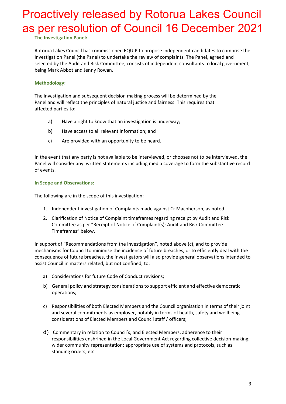**The Investigation Panel:**

Rotorua Lakes Council has commissioned EQUIP to propose independent candidates to comprise the Investigation Panel (the Panel) to undertake the review of complaints. The Panel, agreed and selected by the Audit and Risk Committee, consists of independent consultants to local government, being Mark Abbot and Jenny Rowan.

#### **Methodology:**

The investigation and subsequent decision making process will be determined by the Panel and will reflect the principles of natural justice and fairness. This requires that affected parties to:

- a) Have a right to know that an investigation is underway;
- b) Have access to all relevant information; and
- c) Are provided with an opportunity to be heard.

In the event that any party is not available to be interviewed, or chooses not to be interviewed, the Panel will consider any written statements including media coverage to form the substantive record of events.

#### **In Scope and Observations:**

The following are in the scope of this investigation:

- 1. Independent investigation of Complaints made against Cr Macpherson, as noted.
- 2. Clarification of Notice of Complaint timeframes regarding receipt by Audit and Risk Committee as per "Receipt of Notice of Complaint(s): Audit and Risk Committee Timeframes" below.

In support of "Recommendations from the Investigation", noted above (c), and to provide mechanisms for Council to minimise the incidence of future breaches, or to efficiently deal with the consequence of future breaches, the investigators will also provide general observations intended to assist Council in matters related, but not confined, to:

- a) Considerations for future Code of Conduct revisions;
- b) General policy and strategy considerations to support efficient and effective democratic operations;
- c) Responsibilities of both Elected Members and the Council organisation in terms of their joint and several commitments as employer, notably in terms of health, safety and wellbeing considerations of Elected Members and Council staff / officers;
- d) Commentary in relation to Council's, and Elected Members, adherence to their responsibilities enshrined in the Local Government Act regarding collective decision-making; wider community representation; appropriate use of systems and protocols, such as standing orders; etc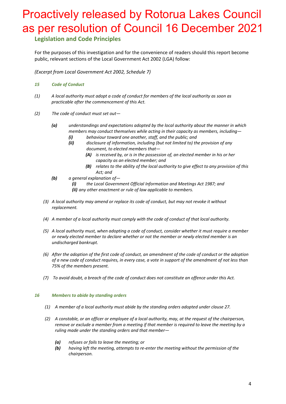### **Legislation and Code Principles**

For the purposes of this investigation and for the convenience of readers should this report become public, relevant sections of the Local Government Act 2002 (LGA) follow:

*(Excerpt from Local Government Act 2002, Schedule 7)* 

- *15 Code of Conduct*
- *(1) A local authority must adopt a code of conduct for members of the local authority as soon as practicable after the commencement of this Act.*
- *(2) The code of conduct must set out—*
	- *(a) understandings and expectations adopted by the local authority about the manner in which members may conduct themselves while acting in their capacity as members, including—*
		- *(i) behaviour toward one another, staff, and the public; and*
		- *(ii) disclosure of information, including (but not limited to) the provision of any document, to elected members that—*
			- *(A) is received by, or is in the possession of, an elected member in his or her capacity as an elected member; and*
			- *(B) relates to the ability of the local authority to give effect to any provision of this Act; and*
	- *(b) a general explanation of—*
		- *(i) the Local Government [Official Information and](https://www.legislation.govt.nz/act/public/2002/0084/latest/link.aspx?id=DLM122241) Meetings Act 1987; and (ii) any other enactment or rule of law applicable to members.*
	- *(3) A local authority may amend or replace its code of conduct, but may not revoke it without replacement.*
	- *(4) A member of a local authority must comply with the code of conduct of that local authority.*
	- *(5) A local authority must, when adopting a code of conduct, consider whether it must require a member or newly elected member to declare whether or not the member or newly elected member is an undischarged bankrupt.*
	- *(6) After the adoption of the first code of conduct, an amendment of the code of conduct or the adoption of a new code of conduct requires, in every case, a vote in support of the amendment of not less than 75% of the members present.*
	- *(7) To avoid doubt, a breach of the code of conduct does not constitute an offence under this Act.*

#### *16 Members to abide by standing orders*

- *(1) A member of a local authority must abide by the standing orders adopted under [clause](https://www.legislation.govt.nz/act/public/2002/0084/latest/link.aspx?id=DLM175695#DLM175695) 27.*
- *(2) A constable, or an officer or employee of a local authority, may, at the request of the chairperson, remove or exclude a member from a meeting if that member is required to leave the meeting by a ruling made under the standing orders and that member—*
	- *(a) refuses or fails to leave the meeting; or*
	- *(b) having left the meeting, attempts to re-enter the meeting without the permission of the chairperson.*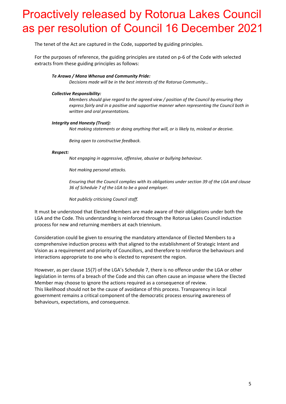The tenet of the Act are captured in the Code, supported by guiding principles.

For the purposes of reference, the guiding principles are stated on p-6 of the Code with selected extracts from these guiding principles as follows:

#### *Te Arawa / Mana Whenua and Community Pride:*

*Decisions made will be in the best interests of the Rotorua Community…*

#### *Collective Responsibility:*

*Members should give regard to the agreed view / position of the Council by ensuring they express fairly and in a positive and supportive manner when representing the Council both in written and oral presentations.*

#### *Integrity and Honesty (Trust):*

*Not making statements or doing anything that will, or is likely to, mislead or deceive.*

*Being open to constructive feedback.*

#### *Respect:*

*Not engaging in aggressive, offensive, abusive or bullying behaviour.*

*Not making personal attacks.*

*Ensuring that the Council complies with its obligations under section 39 of the LGA and clause 36 of Schedule 7 of the LGA to be a good employer.*

*Not publicly criticising Council staff.* 

It must be understood that Elected Members are made aware of their obligations under both the LGA and the Code. This understanding is reinforced through the Rotorua Lakes Council induction process for new and returning members at each triennium.

Consideration could be given to ensuring the mandatory attendance of Elected Members to a comprehensive induction process with that aligned to the establishment of Strategic Intent and Vision as a requirement and priority of Councillors, and therefore to reinforce the behaviours and interactions appropriate to one who is elected to represent the region.

However, as per clause 15(7) of the LGA's Schedule 7, there is no offence under the LGA or other legislation in terms of a breach of the Code and this can often cause an impasse where the Elected Member may choose to ignore the actions required as a consequence of review. This likelihood should not be the cause of avoidance of this process. Transparency in local government remains a critical component of the democratic process ensuring awareness of behaviours, expectations, and consequence.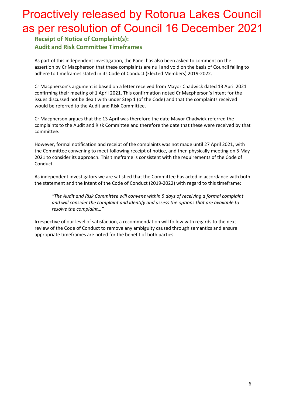**Receipt of Notice of Complaint(s): Audit and Risk Committee Timeframes**

As part of this independent investigation, the Panel has also been asked to comment on the assertion by Cr Macpherson that these complaints are null and void on the basis of Council failing to adhere to timeframes stated in its Code of Conduct (Elected Members) 2019-2022.

Cr Macpherson's argument is based on a letter received from Mayor Chadwick dated 13 April 2021 confirming their meeting of 1 April 2021. This confirmation noted Cr Macpherson's intent for the issues discussed not be dealt with under Step 1 (of the Code) and that the complaints received would be referred to the Audit and Risk Committee.

Cr Macpherson argues that the 13 April was therefore the date Mayor Chadwick referred the complaints to the Audit and Risk Committee and therefore the date that these were received by that committee.

However, formal notification and receipt of the complaints was not made until 27 April 2021, with the Committee convening to meet following receipt of notice, and then physically meeting on 5 May 2021 to consider its approach. This timeframe is consistent with the requirements of the Code of Conduct.

As independent investigators we are satisfied that the Committee has acted in accordance with both the statement and the intent of the Code of Conduct (2019-2022) with regard to this timeframe:

*"The Audit and Risk Committee will convene within 5 days of receiving a formal complaint and will consider the complaint and identify and assess the options that are available to resolve the complaint…"*

Irrespective of our level of satisfaction, a recommendation will follow with regards to the next review of the Code of Conduct to remove any ambiguity caused through semantics and ensure appropriate timeframes are noted for the benefit of both parties.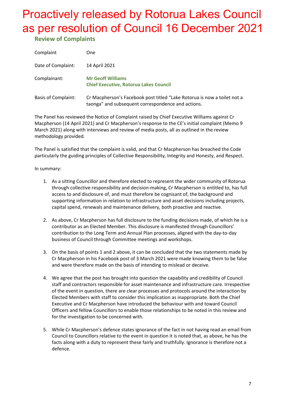**Review of Complaints**

| Complaint                  | One                                                                                                                            |
|----------------------------|--------------------------------------------------------------------------------------------------------------------------------|
| Date of Complaint:         | 14 April 2021                                                                                                                  |
| Complainant:               | <b>Mr Geoff Williams</b><br><b>Chief Executive, Rotorua Lakes Council</b>                                                      |
| <b>Basis of Complaint:</b> | Cr Macpherson's Facebook post titled "Lake Rotorua is now a toilet not a<br>taonga" and subsequent correspondence and actions. |

The Panel has reviewed the Notice of Complaint raised by Chief Executive Williams against Cr Macpherson (14 April 2021) and Cr Macpherson's response to the CE's initial complaint (Memo 9 March 2021) along with interviews and review of media posts, all as outlined in the review methodology provided.

The Panel is satisfied that the complaint is valid, and that Cr Macpherson has breached the Code particularly the guiding principles of Collective Responsibility, Integrity and Honesty, and Respect.

In summary:

- 1. As a sitting Councillor and therefore elected to represent the wider community of Rotorua through collective responsibility and decision-making, Cr Macpherson is entitled to, has full access to and disclosure of, and must therefore be cognisant of, the background and supporting information in relation to infrastructure and asset decisions including projects, capital spend, renewals and maintenance delivery, both proactive and reactive.
- 2. As above, Cr Macpherson has full disclosure to the funding decisions made, of which he is a contributor as an Elected Member. This disclosure is manifested through Councillors' contribution to the Long Term and Annual Plan processes, aligned with the day-to-day business of Council through Committee meetings and workshops.
- 3. On the basis of points 1 and 2 above, it can be concluded that the two statements made by Cr Macpherson in his Facebook post of 3 March 2021 were made knowing them to be false and were therefore made on the basis of intending to mislead or deceive.
- 4. We agree that the post has brought into question the capability and credibility of Council staff and contractors responsible for asset maintenance and infrastructure care. Irrespective of the event in question, there are clear processes and protocols around the interaction by Elected Members with staff to consider this implication as inappropriate. Both the Chief Executive and Cr Macpherson have introduced the behaviour with and toward Council Officers and fellow Councillors to enable those relationships to be noted in this review and for the investigation to be concerned with.
- 5. While Cr Macpherson's defence states ignorance of the fact in not having read an email from Council to Councillors relative to the event in question it is noted that, as above, he has the facts along with a duty to represent these fairly and truthfully. Ignorance is therefore not a defence.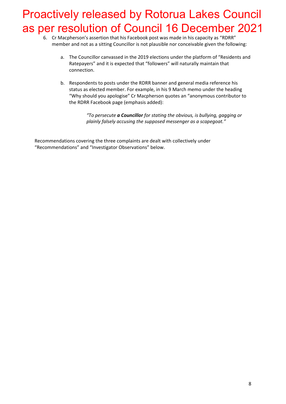- 6. Cr Macpherson's assertion that his Facebook post was made in his capacity as "RDRR" member and not as a sitting Councillor is not plausible nor conceivable given the following:
	- a. The Councillor canvassed in the 2019 elections under the platform of "Residents and Ratepayers" and it is expected that "followers" will naturally maintain that connection.
	- b. Respondents to posts under the RDRR banner and general media reference his status as elected member. For example, in his 9 March memo under the heading "Why should you apologise" Cr Macpherson quotes an "anonymous contributor to the RDRR Facebook page (emphasis added):

*"To persecute a Councillor for stating the obvious, is bullying, gagging or plainly falsely accusing the supposed messenger as a scapegoat."*

Recommendations covering the three complaints are dealt with collectively under "Recommendations" and "Investigator Observations" below.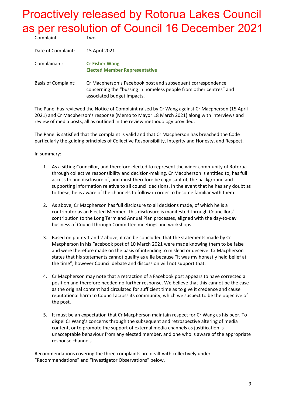| Complaint                  | Two                                                                                                                                                             |
|----------------------------|-----------------------------------------------------------------------------------------------------------------------------------------------------------------|
| Date of Complaint:         | 15 April 2021                                                                                                                                                   |
| Complainant:               | <b>Cr Fisher Wang</b><br><b>Elected Member Representative</b>                                                                                                   |
| <b>Basis of Complaint:</b> | Cr Macpherson's Facebook post and subsequent correspondence<br>concerning the "bussing in homeless people from other centres" and<br>associated budget impacts. |

The Panel has reviewed the Notice of Complaint raised by Cr Wang against Cr Macpherson (15 April 2021) and Cr Macpherson's response (Memo to Mayor 18 March 2021) along with interviews and review of media posts, all as outlined in the review methodology provided.

The Panel is satisfied that the complaint is valid and that Cr Macpherson has breached the Code particularly the guiding principles of Collective Responsibility, Integrity and Honesty, and Respect.

In summary:

- 1. As a sitting Councillor, and therefore elected to represent the wider community of Rotorua through collective responsibility and decision-making, Cr Macpherson is entitled to, has full access to and disclosure of, and must therefore be cognisant of, the background and supporting information relative to all council decisions. In the event that he has any doubt as to these, he is aware of the channels to follow in order to become familiar with them.
- 2. As above, Cr Macpherson has full disclosure to all decisions made, of which he is a contributor as an Elected Member. This disclosure is manifested through Councillors' contribution to the Long Term and Annual Plan processes, aligned with the day-to-day business of Council through Committee meetings and workshops.
- 3. Based on points 1 and 2 above, it can be concluded that the statements made by Cr Macpherson in his Facebook post of 10 March 2021 were made knowing them to be false and were therefore made on the basis of intending to mislead or deceive. Cr Macpherson states that his statements cannot qualify as a lie because "it was my honestly held belief at the time", however Council debate and discussion will not support that.
- 4. Cr Macpherson may note that a retraction of a Facebook post appears to have corrected a position and therefore needed no further response. We believe that this cannot be the case as the original content had circulated for sufficient time as to give it credence and cause reputational harm to Council across its community, which we suspect to be the objective of the post.
- 5. It must be an expectation that Cr Macpherson maintain respect for Cr Wang as his peer. To dispel Cr Wang's concerns through the subsequent and retrospective altering of media content, or to promote the support of external media channels as justification is unacceptable behaviour from any elected member, and one who is aware of the appropriate response channels.

Recommendations covering the three complaints are dealt with collectively under "Recommendations" and "Investigator Observations" below.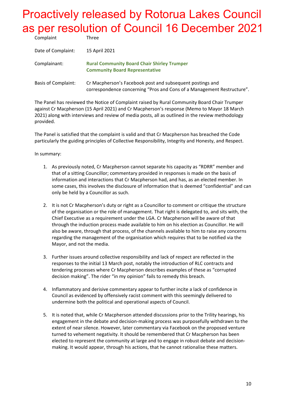| Complaint                  | Three                                                                                                                               |
|----------------------------|-------------------------------------------------------------------------------------------------------------------------------------|
| Date of Complaint:         | 15 April 2021                                                                                                                       |
| Complainant:               | <b>Rural Community Board Chair Shirley Trumper</b><br><b>Community Board Representative</b>                                         |
| <b>Basis of Complaint:</b> | Cr Macpherson's Facebook post and subsequent postings and<br>correspondence concerning "Pros and Cons of a Management Restructure". |

The Panel has reviewed the Notice of Complaint raised by Rural Community Board Chair Trumper against Cr Macpherson (15 April 2021) and Cr Macpherson's response (Memo to Mayor 18 March 2021) along with interviews and review of media posts, all as outlined in the review methodology provided.

The Panel is satisfied that the complaint is valid and that Cr Macpherson has breached the Code particularly the guiding principles of Collective Responsibility, Integrity and Honesty, and Respect.

In summary:

- 1. As previously noted, Cr Macpherson cannot separate his capacity as "RDRR" member and that of a sitting Councillor; commentary provided in responses is made on the basis of information and interactions that Cr Macpherson had, and has, as an elected member. In some cases, this involves the disclosure of information that is deemed "confidential" and can only be held by a Councillor as such.
- 2. It is not Cr Macpherson's duty or right as a Councillor to comment or critique the structure of the organisation or the role of management. That right is delegated to, and sits with, the Chief Executive as a requirement under the LGA. Cr Macpherson will be aware of that through the induction process made available to him on his election as Councillor. He will also be aware, through that process, of the channels available to him to raise any concerns regarding the management of the organisation which requires that to be notified via the Mayor, and not the media.
- 3. Further issues around collective responsibility and lack of respect are reflected in the responses to the initial 13 March post, notably the introduction of RLC contracts and tendering processes where Cr Macpherson describes examples of these as "corrupted decision making". The rider "in my opinion" fails to remedy this breach.
- 4. Inflammatory and derisive commentary appear to further incite a lack of confidence in Council as evidenced by offensively racist comment with this seemingly delivered to undermine both the political and operational aspects of Council.
- 5. It is noted that, while Cr Macpherson attended discussions prior to the Trility hearings, his engagement in the debate and decision-making process was purposefully withdrawn to the extent of near silence. However, later commentary via Facebook on the proposed venture turned to vehement negativity. It should be remembered that Cr Macpherson has been elected to represent the community at large and to engage in robust debate and decisionmaking. It would appear, through his actions, that he cannot rationalise these matters.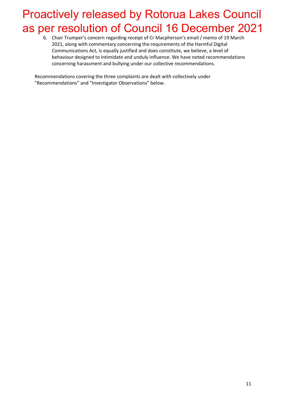6. Chair Trumper's concern regarding receipt of Cr Macpherson's email / memo of 19 March 2021, along with commentary concerning the requirements of the Harmful Digital Communications Act, is equally justified and does constitute, we believe, a level of behaviour designed to intimidate and unduly influence. We have noted recommendations concerning harassment and bullying under our collective recommendations.

Recommendations covering the three complaints are dealt with collectively under "Recommendations" and "Investigator Observations" below.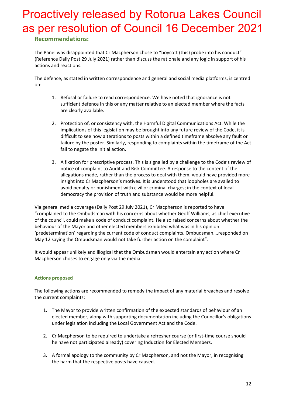### **Recommendations:**

The Panel was disappointed that Cr Macpherson chose to "boycott (this) probe into his conduct" (Reference Daily Post 29 July 2021) rather than discuss the rationale and any logic in support of his actions and reactions.

The defence, as stated in written correspondence and general and social media platforms, is centred on:

- 1. Refusal or failure to read correspondence. We have noted that ignorance is not sufficient defence in this or any matter relative to an elected member where the facts are clearly available.
- 2. Protection of, or consistency with, the Harmful Digital Communications Act. While the implications of this legislation may be brought into any future review of the Code, it is difficult to see how alterations to posts within a defined timeframe absolve any fault or failure by the poster. Similarly, responding to complaints within the timeframe of the Act fail to negate the initial action.
- 3. A fixation for prescriptive process. This is signalled by a challenge to the Code's review of notice of complaint to Audit and Risk Committee. A response to the content of the allegations made, rather than the process to deal with them, would have provided more insight into Cr Macpherson's motives. It is understood that loopholes are availed to avoid penalty or punishment with civil or criminal charges; in the context of local democracy the provision of truth and substance would be more helpful.

Via general media coverage (Daily Post 29 July 2021), Cr Macpherson is reported to have "complained to the Ombudsman with his concerns about whether Geoff Williams, as chief executive of the council, could make a code of conduct complaint. He also raised concerns about whether the behaviour of the Mayor and other elected members exhibited what was in his opinion 'predetermination' regarding the current code of conduct complaints. Ombudsman….responded on May 12 saying the Ombudsman would not take further action on the complaint".

It would appear unlikely and illogical that the Ombudsman would entertain any action where Cr Macpherson choses to engage only via the media.

#### **Actions proposed**

The following actions are recommended to remedy the impact of any material breaches and resolve the current complaints:

- 1. The Mayor to provide written confirmation of the expected standards of behaviour of an elected member, along with supporting documentation including the Councillor's obligations under legislation including the Local Government Act and the Code.
- 2. Cr Macpherson to be required to undertake a refresher course (or first-time course should he have not participated already) covering Induction for Elected Members.
- 3. A formal apology to the community by Cr Macpherson, and not the Mayor, in recognising the harm that the respective posts have caused.